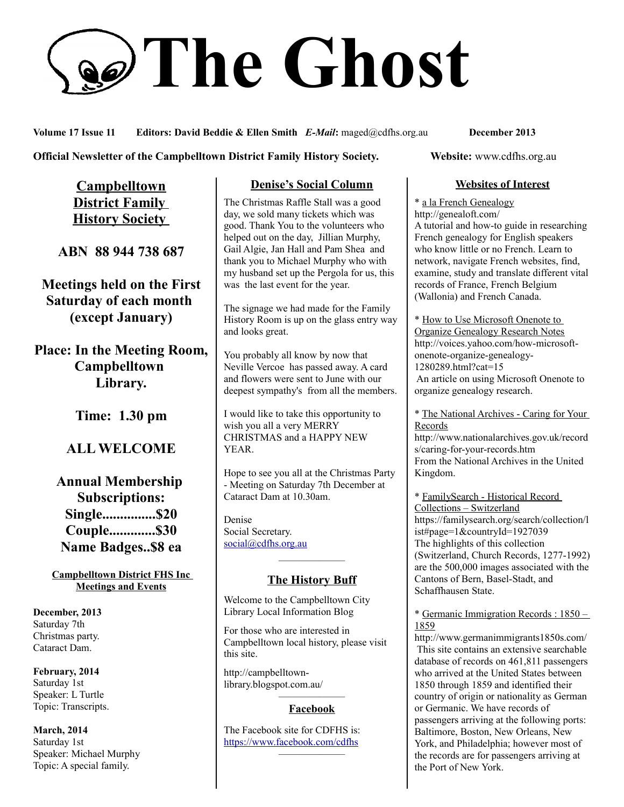# **The Ghost**

**Volume 17 Issue 11 Editors: David Beddie & Ellen Smith** *E-Mail***:** maged@cdfhs.org.au **December 2013**

**Official Newsletter of the Campbelltown District Family History Society. Website: www.cdfhs.org.au** 

**Campbelltown District Family History Society** 

**ABN 88 944 738 687**

**Meetings held on the First Saturday of each month (except January)**

**Place: In the Meeting Room, Campbelltown Library.**

**Time: 1.30 pm**

**ALL WELCOME**

**Annual Membership Subscriptions: Single...............\$20 Couple.............\$30 Name Badges..\$8 ea**

**Campbelltown District FHS Inc Meetings and Events**

**December, 2013** Saturday 7th Christmas party. Cataract Dam.

**February, 2014** Saturday 1st Speaker: L Turtle Topic: Transcripts.

**March, 2014** Saturday 1st Speaker: Michael Murphy Topic: A special family.

## **Denise's Social Column**

The Christmas Raffle Stall was a good day, we sold many tickets which was good. Thank You to the volunteers who helped out on the day, Jillian Murphy, Gail Algie, Jan Hall and Pam Shea and thank you to Michael Murphy who with my husband set up the Pergola for us, this was the last event for the year.

The signage we had made for the Family History Room is up on the glass entry way and looks great.

You probably all know by now that Neville Vercoe has passed away. A card and flowers were sent to June with our deepest sympathy's from all the members.

I would like to take this opportunity to wish you all a very MERRY CHRISTMAS and a HAPPY NEW YEAR.

Hope to see you all at the Christmas Party - Meeting on Saturday 7th December at Cataract Dam at 10.30am.

Denise Social Secretary. [social@cdfhs.org.au](mailto:social@cdfhs.org.au)

# ——————– **The History Buff**

Welcome to the Campbelltown City Library Local Information Blog

For those who are interested in Campbelltown local history, please visit this site.

http://campbelltownlibrary.blogspot.com.au/

### ——————– **Facebook**

The Facebook site for CDFHS is: <https://www.facebook.com/cdfhs> ——————–

## **Websites of Interest**

\* a la French Genealogy http://genealoft.com/ A tutorial and how-to guide in researching French genealogy for English speakers who know little or no French. Learn to network, navigate French websites, find, examine, study and translate different vital records of France, French Belgium (Wallonia) and French Canada.

\* How to Use Microsoft Onenote to Organize Genealogy Research Notes http://voices.yahoo.com/how-microsoftonenote-organize-genealogy-1280289.html?cat=15 An article on using Microsoft Onenote to organize genealogy research.

\* The National Archives - Caring for Your Records

http://www.nationalarchives.gov.uk/record s/caring-for-your-records.htm From the National Archives in the United Kingdom.

\* FamilySearch - Historical Record Collections – Switzerland https://familysearch.org/search/collection/l ist#page=1&countryId=1927039 The highlights of this collection (Switzerland, Church Records, 1277-1992) are the 500,000 images associated with the Cantons of Bern, Basel-Stadt, and Schaffhausen State.

### \* Germanic Immigration Records : 1850 – 1859

http://www.germanimmigrants1850s.com/ This site contains an extensive searchable database of records on 461,811 passengers who arrived at the United States between 1850 through 1859 and identified their country of origin or nationality as German or Germanic. We have records of passengers arriving at the following ports: Baltimore, Boston, New Orleans, New York, and Philadelphia; however most of the records are for passengers arriving at the Port of New York.